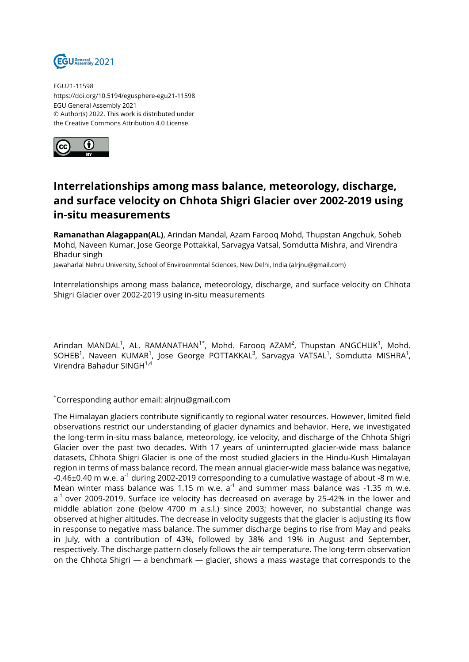

EGU21-11598 https://doi.org/10.5194/egusphere-egu21-11598 EGU General Assembly 2021 © Author(s) 2022. This work is distributed under the Creative Commons Attribution 4.0 License.



## **Interrelationships among mass balance, meteorology, discharge, and surface velocity on Chhota Shigri Glacier over 2002-2019 using in-situ measurements**

**Ramanathan Alagappan(AL)**, Arindan Mandal, Azam Farooq Mohd, Thupstan Angchuk, Soheb Mohd, Naveen Kumar, Jose George Pottakkal, Sarvagya Vatsal, Somdutta Mishra, and Virendra Bhadur singh

Jawaharlal Nehru University, School of Enviroenmntal Sciences, New Delhi, India (alrjnu@gmail.com)

Interrelationships among mass balance, meteorology, discharge, and surface velocity on Chhota Shigri Glacier over 2002-2019 using in-situ measurements

Arindan MANDAL $^{\rm 1}$ , AL. RAMANATHAN $^{\rm 1*}$ , Mohd. Farooq AZAM $^{\rm 2}$ , Thupstan ANGCHUK $^{\rm 1}$ , Mohd. SOHEB $^1$ , Naveen KUMAR $^1$ , Jose George POTTAKKAL $^3$ , Sarvagya VATSAL $^1$ , Somdutta MISHRA $^1$ , Virendra Bahadur SINGH1,4

\*Corresponding author email: alrjnu@gmail.com

The Himalayan glaciers contribute significantly to regional water resources. However, limited field observations restrict our understanding of glacier dynamics and behavior. Here, we investigated the long-term in-situ mass balance, meteorology, ice velocity, and discharge of the Chhota Shigri Glacier over the past two decades. With 17 years of uninterrupted glacier-wide mass balance datasets, Chhota Shigri Glacier is one of the most studied glaciers in the Hindu-Kush Himalayan region in terms of mass balance record. The mean annual glacier-wide mass balance was negative,  $-0.46\pm0.40$  m w.e. a<sup>-1</sup> during 2002-2019 corresponding to a cumulative wastage of about -8 m w.e. Mean winter mass balance was 1.15 m w.e.  $a<sup>-1</sup>$  and summer mass balance was -1.35 m w.e. a<sup>-1</sup> over 2009-2019. Surface ice velocity has decreased on average by 25-42% in the lower and middle ablation zone (below 4700 m a.s.l.) since 2003; however, no substantial change was observed at higher altitudes. The decrease in velocity suggests that the glacier is adjusting its flow in response to negative mass balance. The summer discharge begins to rise from May and peaks in July, with a contribution of 43%, followed by 38% and 19% in August and September, respectively. The discharge pattern closely follows the air temperature. The long-term observation on the Chhota Shigri — a benchmark — glacier, shows a mass wastage that corresponds to the